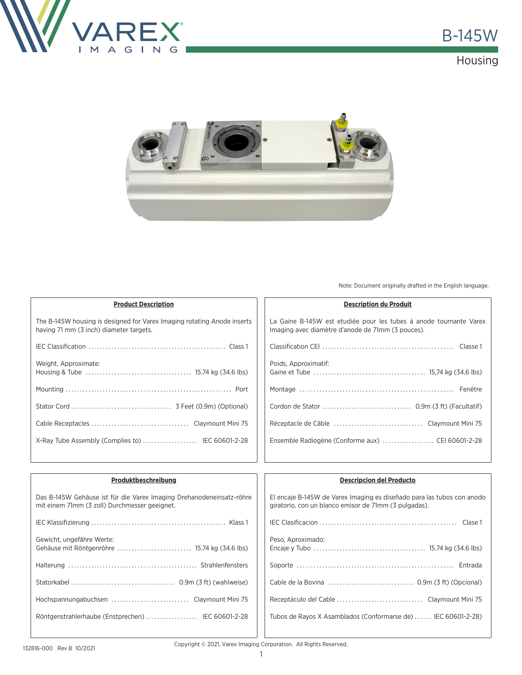

## **Housing**



Note: Document originally drafted in the English language.

| <b>Product Description</b>                                                                                         |
|--------------------------------------------------------------------------------------------------------------------|
| The B-145W housing is designed for Varex Imaging rotating Anode inserts<br>having 71 mm (3 inch) diameter targets. |
|                                                                                                                    |
| Weight, Approximate:                                                                                               |
|                                                                                                                    |
|                                                                                                                    |
|                                                                                                                    |
|                                                                                                                    |

|--|

La Gaine B-145W est etudiée pour les tubes á anode tournante Varex Imaging avec diamètre d'anode de 71mm (3 pouces).

| Réceptacle de Câble Claymount Mini 75             |
|---------------------------------------------------|
| Ensemble Radiogène (Conforme aux)  CEI 60601-2-28 |
|                                                   |

| Produktbeschreibung                                                                                                   | <b>Descripcion del Producto</b>                                                                                                 |
|-----------------------------------------------------------------------------------------------------------------------|---------------------------------------------------------------------------------------------------------------------------------|
| Das B-145W Gehäuse ist für die Varex Imaging Drehanodeneinsatz-röhre<br>mit einem 71mm (3 zoll) Durchmesser geeignet. | El encaje B-145W de Varex Imaging es diseñado para las tubos con anodo<br>giratorio, con un blanco emisor de 71mm (3 pulgadas). |
|                                                                                                                       |                                                                                                                                 |
| Gewicht, ungefähre Werte:                                                                                             | Peso, Aproximado:                                                                                                               |
|                                                                                                                       |                                                                                                                                 |
|                                                                                                                       |                                                                                                                                 |
| Hochspannungabuchsen Claymount Mini 75                                                                                |                                                                                                                                 |
| Röntgenstrahlerhaube (Enstprechen)  IEC 60601-2-28                                                                    | Tubos de Rayos X Asamblados (Conformarse de) IEC 60601-2-28)                                                                    |
|                                                                                                                       |                                                                                                                                 |

Copyright © 2021, Varex Imaging Corporation. All Rights Reserved.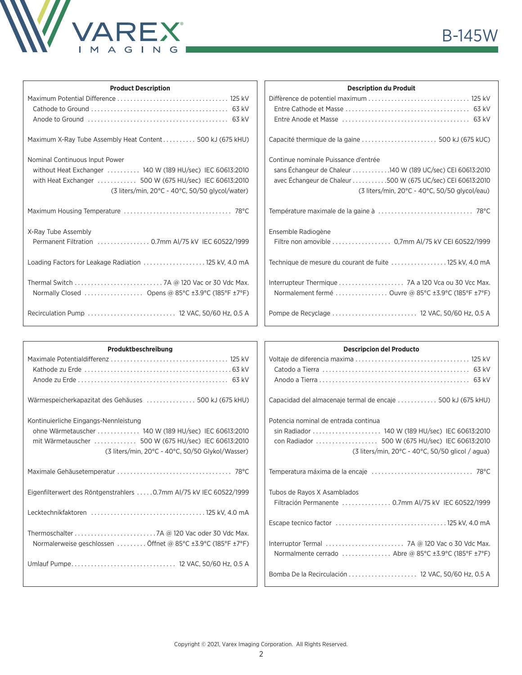

| <b>Product Description</b>                                  | <b>Description du Produit</b>                                         |
|-------------------------------------------------------------|-----------------------------------------------------------------------|
|                                                             |                                                                       |
|                                                             |                                                                       |
|                                                             |                                                                       |
| Maximum X-Ray Tube Assembly Heat Content 500 kJ (675 kHU)   |                                                                       |
| Nominal Continuous Input Power                              | Continue nominale Puissance d'entrée                                  |
| without Heat Exchanger  140 W (189 HU/sec) IEC 60613:2010   | sans Echangeur de Chaleur 140 W (189 UC/sec) CEI 60613:2010           |
| with Heat Exchanger  500 W (675 HU/sec) IEC 60613:2010      | avec Échangeur de Chaleur 500 W (675 UC/sec) CEI 60613:2010           |
| (3 liters/min, 20°C - 40°C, 50/50 glycol/water)             | $(3$ liters/min, 20 $^{\circ}$ C - 40 $^{\circ}$ C, 50/50 glycol/eau) |
|                                                             |                                                                       |
| X-Ray Tube Assembly                                         | Ensemble Radiogène                                                    |
|                                                             | Filtre non amovible 0,7mm AI/75 kV CEI 60522/1999                     |
| Loading Factors for Leakage Radiation  125 kV, 4.0 mA       | Technique de mesure du courant de fuite  125 kV, 4.0 mA               |
|                                                             | Interrupteur Thermique  7A a 120 Vca ou 30 Vcc Max.                   |
| Normally Closed  Opens @ 85°C $\pm$ 3.9°C (185°F $\pm$ 7°F) | Normalement fermé  Ouvre @ 85°C ±3.9°C (185°F ±7°F)                   |
|                                                             |                                                                       |

| Produktbeschreibung                                                 | <b>Descripcion del Producto</b>                                        |
|---------------------------------------------------------------------|------------------------------------------------------------------------|
|                                                                     |                                                                        |
|                                                                     |                                                                        |
|                                                                     |                                                                        |
| Wärmespeicherkapazitat des Gehäuses  500 kJ (675 kHU)               | Capacidad del almacenaje termal de encaje 500 kJ (675 kHU)             |
| Kontinuierliche Eingangs-Nennleistung                               | Potencia nominal de entrada continua                                   |
| ohne Wärmetauscher  140 W (189 HU/sec) IEC 60613:2010               |                                                                        |
| mit Wärmetauscher  500 W (675 HU/sec) IEC 60613:2010                |                                                                        |
| (3 liters/min, 20°C - 40°C, 50/50 Glykol/Wasser)                    | $(3$ liters/min, 20 $\degree$ C - 40 $\degree$ C, 50/50 glicol / agua) |
|                                                                     |                                                                        |
| Eigenfilterwert des Röntgenstrahlers  0.7mm AI/75 kV IEC 60522/1999 | Tubos de Rayos X Asamblados                                            |
|                                                                     |                                                                        |
|                                                                     |                                                                        |
|                                                                     |                                                                        |
|                                                                     |                                                                        |
| Normalerweise geschlossen  Öffnet @ 85°C ±3.9°C (185°F ±7°F)        | Interruptor Termal  7A @ 120 Vac o 30 Vdc Max.                         |
|                                                                     | Normalmente cerrado  Abre @ 85°C ±3.9°C (185°F ±7°F)                   |
|                                                                     |                                                                        |
|                                                                     | Bomba De la Recirculación  12 VAC, 50/60 Hz, 0.5 A                     |
|                                                                     |                                                                        |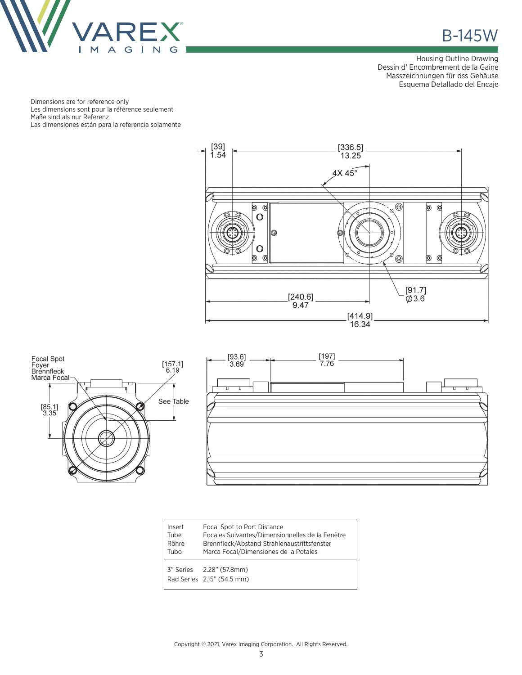

**B-145W** 

Housing Outline Drawing Dessin d' Encombrement de la Gaine Masszeichnungen für dss Gehäuse Esquema Detallado del Encaje

Dimensions are for reference only Les dimensions sont pour la référence seulement Maße sind als nur Referenz Las dimensiones están para la referencia solamente







| Insert<br>Tube<br>Röhre<br>Tubo | Focal Spot to Port Distance<br>Focales Suivantes/Dimensionnelles de la Fenêtre<br>Brennfleck/Abstand Strahlenaustrittsfenster<br>Marca Focal/Dimensiones de la Potales |  |
|---------------------------------|------------------------------------------------------------------------------------------------------------------------------------------------------------------------|--|
|                                 | 3" Series 2.28" (57.8mm)<br>Rad Series 2.15" (54.5 mm)                                                                                                                 |  |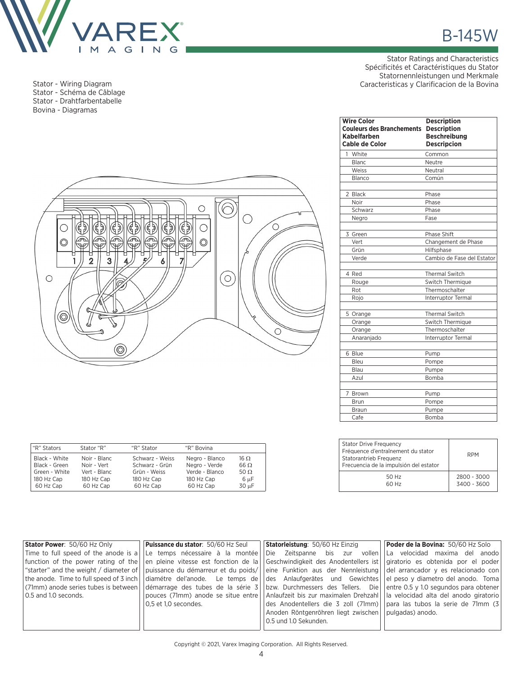

Stator - Wiring Diagram Stator - Schéma de Câblage Stator - Drahtfarbentabelle Bovina - Diagramas

Stator Ratings and Characteristics Spécificités et Caractéristiques du Stator Statornennleistungen und Merkmale Caracteristicas y Clarificacion de la Bovina



"R" Stators Stator "R" "R" Stator "R" Bovina

60 Hz Cap

Black - White Noir - Blanc Schwarz - Weiss Negro - Blanco 16  $\Omega$ Black - Green Noir - Vert Schwarz - Grün Negro - Verde 66  $\Omega$ Black - Green Noir - Vert Schwarz - Grün Negro - Verde 66  $\Omega$ <br>Green - White Vert - Blanc Grün - Weiss Verde - Blanco 50  $\Omega$ <br>180 Hz Cap 180 Hz Cap 180 Hz Cap 180 Hz Cap 6 µF 180 Hz Cap 180 Hz Cap 180 Hz Cap 180 Hz Cap 6 µF<br>60 Hz Cap 160 Hz Cap 160 Hz Cap 180 Hz Cap 30 µF

| <b>Wire Color</b><br><b>Couleurs des Branchements Description</b><br>Kabelfarben<br><b>Cable de Color</b> | <b>Description</b><br><b>Beschreibung</b><br><b>Descripcion</b> |
|-----------------------------------------------------------------------------------------------------------|-----------------------------------------------------------------|
| 1 White                                                                                                   | Common                                                          |
| Blanc                                                                                                     | Neutre                                                          |
| Weiss                                                                                                     | Neutral                                                         |
| Blanco                                                                                                    | Común                                                           |
| 2 Black                                                                                                   | Phase                                                           |
| Noir                                                                                                      | Phase                                                           |
| Schwarz                                                                                                   | Phase                                                           |
| Negro                                                                                                     | Fase                                                            |
| 3 Green                                                                                                   | Phase Shift                                                     |
| Vert                                                                                                      | Changement de Phase                                             |
| Grün                                                                                                      | Hilfsphase                                                      |
| Verde                                                                                                     | Cambio de Fase del Estator                                      |
| 4 Red                                                                                                     | <b>Thermal Switch</b>                                           |
| Rouge                                                                                                     | <b>Switch Thermique</b>                                         |
| Rot                                                                                                       | Thermoschalter                                                  |
| Rojo                                                                                                      | <b>Interruptor Termal</b>                                       |
| 5 Orange                                                                                                  | <b>Thermal Switch</b>                                           |
| Orange                                                                                                    | <b>Switch Thermique</b>                                         |
| Orange                                                                                                    | Thermoschalter                                                  |
| Anaranjado                                                                                                | <b>Interruptor Termal</b>                                       |
| 6 Blue                                                                                                    | Pump                                                            |
| Bleu                                                                                                      | Pompe                                                           |
| Blau                                                                                                      | Pumpe                                                           |
| Azul                                                                                                      | Bomba                                                           |
| 7 Brown                                                                                                   | Pump                                                            |
| Brun                                                                                                      | Pompe                                                           |
| Braun                                                                                                     | Pumpe                                                           |
| Cafe                                                                                                      | Bomba                                                           |

| <b>Stator Drive Frequency</b><br>Fréquence d'entraînement du stator<br>Statorantrieb Frequenz<br>Frecuencia de la impulsión del estator | <b>RPM</b>                 |
|-----------------------------------------------------------------------------------------------------------------------------------------|----------------------------|
| 50 Hz<br>60 Hz                                                                                                                          | 2800 - 3000<br>3400 - 3600 |

| Stator Power: 50/60 Hz Only | <b>Puissance du stator: 50/60 Hz Seul</b>                                                                                                                 | <b>Statorleistung: 50/60 Hz Einzig</b>                                                                           | Poder de la Bovina: 50/60 Hz Solo                                        |
|-----------------------------|-----------------------------------------------------------------------------------------------------------------------------------------------------------|------------------------------------------------------------------------------------------------------------------|--------------------------------------------------------------------------|
|                             | Time to full speed of the anode is a $\vert$ Le temps nécessaire à la montée                                                                              |                                                                                                                  | Die Zeitspanne bis zur vollen  La velocidad maxima del anodo             |
|                             | function of the power rating of the $\vert$ en pleine vitesse est fonction de la                                                                          |                                                                                                                  | Geschwindigkeit des Anodentellers ist giratorio es obtenida por el poder |
|                             | "starter" and the weight / diameter of    puissance du démarreur et du poids/   eine Funktion aus der Nennleistung    del arrancador y es relacionado con |                                                                                                                  |                                                                          |
|                             | the anode. Time to full speed of 3 inch $\vert$ diamétre del'anode. Le temps de                                                                           | des Anlaufgerätes und Gewichtes el peso y diametro del anodo. Toma                                               |                                                                          |
|                             | (71mm) anode series tubes is between   démarrage des tubes de la série 3   bzw. Durchmessers des Tellers. Die                                             |                                                                                                                  | entre 0.5 y 1.0 segundos para obtener                                    |
| 0.5 and 1.0 seconds.        |                                                                                                                                                           | pouces (71mm) anode se situe entre  Anlaufzeit bis zur maximalen Drehzahl  la velocidad alta del anodo giratorio |                                                                          |
|                             | 0.5 et 1.0 secondes.                                                                                                                                      |                                                                                                                  | des Anodentellers die 3 zoll (71mm) para las tubos la serie de 71mm (3)  |
|                             |                                                                                                                                                           | Anoden Röntgenröhren liegt zwischen   pulgadas) anodo.                                                           |                                                                          |
|                             |                                                                                                                                                           | 0.5 und 1.0 Sekunden.                                                                                            |                                                                          |
|                             |                                                                                                                                                           |                                                                                                                  |                                                                          |

Copyright © 2021, Varex Imaging Corporation. All Rights Reserved.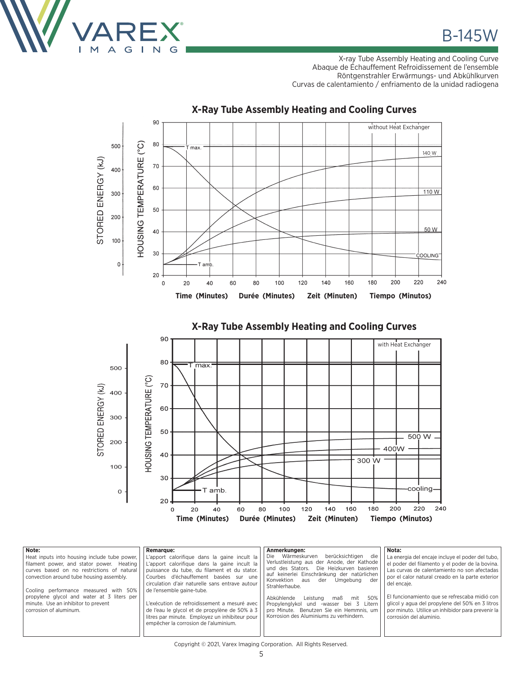

**B-145W** 

X-ray Tube Assembly Heating and Cooling Curve Abaque de Échauffement Refroidissement de l'ensemble Röntgenstrahler Erwärmungs- und Abkühlkurven Curvas de calentamiento / enfriamento de la unidad radiogena



## **X-Ray Tube Assembly Heating and Cooling Curves**





| Note:<br><b>Remarque:</b><br>Heat inputs into housing include tube power,<br>filament power, and stator power. Heating<br>curves based on no restrictions of natural<br>convection around tube housing assembly.<br>de l'ensemble gaine-tube.<br>Cooling performance measured with 50%<br>propylene glycol and water at 3 liters per<br>minute. Use an inhibitor to prevent<br>corrosion of aluminum. | Anmerkungen:<br>Wärmeskurven<br>L'apport calorifique dans la gaine incult la<br>Die -<br>L'apport calorifique dans la gaine incult la<br>puissance du tube, du filament et du stator.<br>Courbes d'échauffement basées sur une<br>Konvektion aus<br>circulation d'air naturelle sans entrave autour<br>Strahlerhaube.<br>Abkühlende<br>Leistung<br>L'exécution de refroidissement a mesuré avec l<br>Propylenglykol und -wasser<br>de l'eau le givcol et de propylène de 50% à 3<br>Korrosion des Aluminiums zu verhindern.<br>litres par minute. Employez un inhibiteur pour<br>empêcher la corrosion de l'aluminium. | Nota:<br>berücksichtigen<br>die<br>La energia del encaje incluye el poder del tubo,<br>Verlustleistung aus der Anode, der Kathode<br>el poder del filamento y el poder de la bovina.<br>und des Stators. Die Heizkurven basieren<br>Las curvas de calentamiento no son afectadas<br>auf keinerlei Einschränkung der natürlichen<br>por el calor natural creado en la parte exterior<br>Umgebung der<br>der<br>del encaje.<br>El funcionamiento que se refrescaba midió con<br>50%<br>mit<br>maß<br>glicol y agua del propylene del 50% en 3 litros<br>bei 3 Litern<br>pro Minute. Benutzen Sie ein Hemmnis, um<br>por minuto. Utilice un inhibidor para prevenir la<br>corrosión del aluminio. |  |
|-------------------------------------------------------------------------------------------------------------------------------------------------------------------------------------------------------------------------------------------------------------------------------------------------------------------------------------------------------------------------------------------------------|------------------------------------------------------------------------------------------------------------------------------------------------------------------------------------------------------------------------------------------------------------------------------------------------------------------------------------------------------------------------------------------------------------------------------------------------------------------------------------------------------------------------------------------------------------------------------------------------------------------------|------------------------------------------------------------------------------------------------------------------------------------------------------------------------------------------------------------------------------------------------------------------------------------------------------------------------------------------------------------------------------------------------------------------------------------------------------------------------------------------------------------------------------------------------------------------------------------------------------------------------------------------------------------------------------------------------|--|
|-------------------------------------------------------------------------------------------------------------------------------------------------------------------------------------------------------------------------------------------------------------------------------------------------------------------------------------------------------------------------------------------------------|------------------------------------------------------------------------------------------------------------------------------------------------------------------------------------------------------------------------------------------------------------------------------------------------------------------------------------------------------------------------------------------------------------------------------------------------------------------------------------------------------------------------------------------------------------------------------------------------------------------------|------------------------------------------------------------------------------------------------------------------------------------------------------------------------------------------------------------------------------------------------------------------------------------------------------------------------------------------------------------------------------------------------------------------------------------------------------------------------------------------------------------------------------------------------------------------------------------------------------------------------------------------------------------------------------------------------|--|